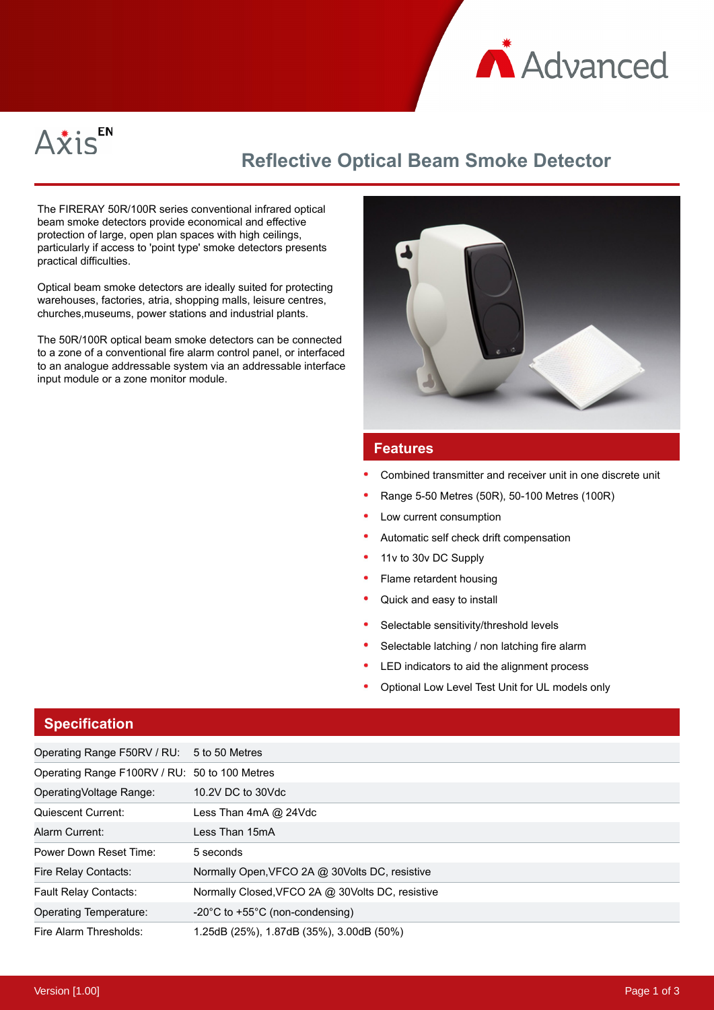



# **Reflective Optical Beam Smoke Detector**

The FIRERAY 50R/100R series conventional infrared optical beam smoke detectors provide economical and effective protection of large, open plan spaces with high ceilings, particularly if access to 'point type' smoke detectors presents practical difficulties.

Optical beam smoke detectors are ideally suited for protecting warehouses, factories, atria, shopping malls, leisure centres, churches,museums, power stations and industrial plants.

The 50R/100R optical beam smoke detectors can be connected to a zone of a conventional fire alarm control panel, or interfaced to an analogue addressable system via an addressable interface input module or a zone monitor module.



## **Features**

- Combined transmitter and receiver unit in one discrete unit
- Range 5-50 Metres (50R), 50-100 Metres (100R)
- Low current consumption
- Automatic self check drift compensation
- 11v to 30v DC Supply
- Flame retardent housing
- Quick and easy to install
- Selectable sensitivity/threshold levels
- Selectable latching / non latching fire alarm
- LED indicators to aid the alignment process
- Optional Low Level Test Unit for UL models only

### **Specification**

| Operating Range F50RV / RU: 5 to 50 Metres    |                                                      |
|-----------------------------------------------|------------------------------------------------------|
| Operating Range F100RV / RU: 50 to 100 Metres |                                                      |
| OperatingVoltage Range:                       | 10.2V DC to 30Vdc                                    |
| Quiescent Current:                            | Less Than 4mA @ 24Vdc                                |
| Alarm Current:                                | Less Than 15mA                                       |
| Power Down Reset Time:                        | 5 seconds                                            |
| Fire Relay Contacts:                          | Normally Open, VFCO 2A @ 30Volts DC, resistive       |
| <b>Fault Relay Contacts:</b>                  | Normally Closed, VFCO 2A @ 30Volts DC, resistive     |
| Operating Temperature:                        | $-20^{\circ}$ C to +55 $^{\circ}$ C (non-condensing) |
| Fire Alarm Thresholds:                        | 1.25dB (25%), 1.87dB (35%), 3.00dB (50%)             |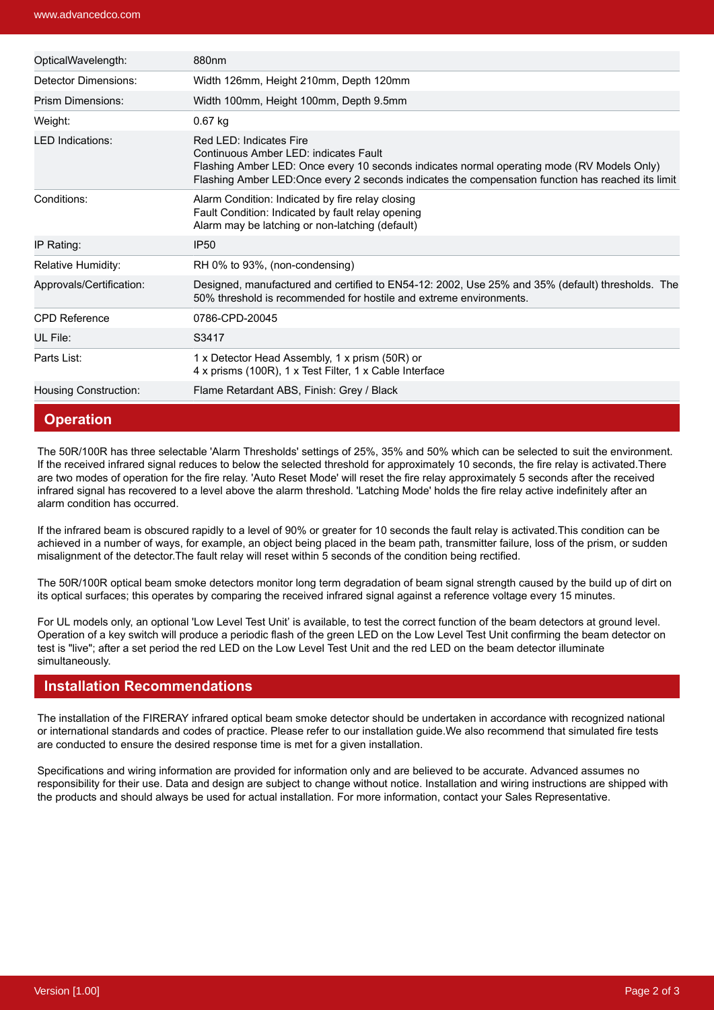| OpticalWavelength:           | 880nm                                                                                                                                                                                                                                                                |
|------------------------------|----------------------------------------------------------------------------------------------------------------------------------------------------------------------------------------------------------------------------------------------------------------------|
| Detector Dimensions:         | Width 126mm, Height 210mm, Depth 120mm                                                                                                                                                                                                                               |
| Prism Dimensions:            | Width 100mm, Height 100mm, Depth 9.5mm                                                                                                                                                                                                                               |
| Weight:                      | 0.67 kg                                                                                                                                                                                                                                                              |
| <b>LED Indications:</b>      | Red LED: Indicates Fire<br>Continuous Amber LED: indicates Fault<br>Flashing Amber LED: Once every 10 seconds indicates normal operating mode (RV Models Only)<br>Flashing Amber LED: Once every 2 seconds indicates the compensation function has reached its limit |
| Conditions:                  | Alarm Condition: Indicated by fire relay closing<br>Fault Condition: Indicated by fault relay opening<br>Alarm may be latching or non-latching (default)                                                                                                             |
| IP Rating:                   | <b>IP50</b>                                                                                                                                                                                                                                                          |
| Relative Humidity:           | RH 0% to 93%, (non-condensing)                                                                                                                                                                                                                                       |
| Approvals/Certification:     | Designed, manufactured and certified to EN54-12: 2002, Use 25% and 35% (default) thresholds. The<br>50% threshold is recommended for hostile and extreme environments.                                                                                               |
| <b>CPD Reference</b>         | 0786-CPD-20045                                                                                                                                                                                                                                                       |
| UL File:                     | S3417                                                                                                                                                                                                                                                                |
| Parts List:                  | 1 x Detector Head Assembly, 1 x prism (50R) or<br>4 x prisms (100R), 1 x Test Filter, 1 x Cable Interface                                                                                                                                                            |
| <b>Housing Construction:</b> | Flame Retardant ABS, Finish: Grey / Black                                                                                                                                                                                                                            |

### **Operation**

The 50R/100R has three selectable 'Alarm Thresholds' settings of 25%, 35% and 50% which can be selected to suit the environment. If the received infrared signal reduces to below the selected threshold for approximately 10 seconds, the fire relay is activated.There are two modes of operation for the fire relay. 'Auto Reset Mode' will reset the fire relay approximately 5 seconds after the received infrared signal has recovered to a level above the alarm threshold. 'Latching Mode' holds the fire relay active indefinitely after an alarm condition has occurred.

If the infrared beam is obscured rapidly to a level of 90% or greater for 10 seconds the fault relay is activated.This condition can be achieved in a number of ways, for example, an object being placed in the beam path, transmitter failure, loss of the prism, or sudden misalignment of the detector.The fault relay will reset within 5 seconds of the condition being rectified.

The 50R/100R optical beam smoke detectors monitor long term degradation of beam signal strength caused by the build up of dirt on its optical surfaces; this operates by comparing the received infrared signal against a reference voltage every 15 minutes.

For UL models only, an optional 'Low Level Test Unit' is available, to test the correct function of the beam detectors at ground level. Operation of a key switch will produce a periodic flash of the green LED on the Low Level Test Unit confirming the beam detector on test is "live"; after a set period the red LED on the Low Level Test Unit and the red LED on the beam detector illuminate simultaneously.

### **Installation Recommendations**

The installation of the FIRERAY infrared optical beam smoke detector should be undertaken in accordance with recognized national or international standards and codes of practice. Please refer to our installation guide.We also recommend that simulated fire tests are conducted to ensure the desired response time is met for a given installation.

Specifications and wiring information are provided for information only and are believed to be accurate. Advanced assumes no responsibility for their use. Data and design are subject to change without notice. Installation and wiring instructions are shipped with the products and should always be used for actual installation. For more information, contact your Sales Representative.